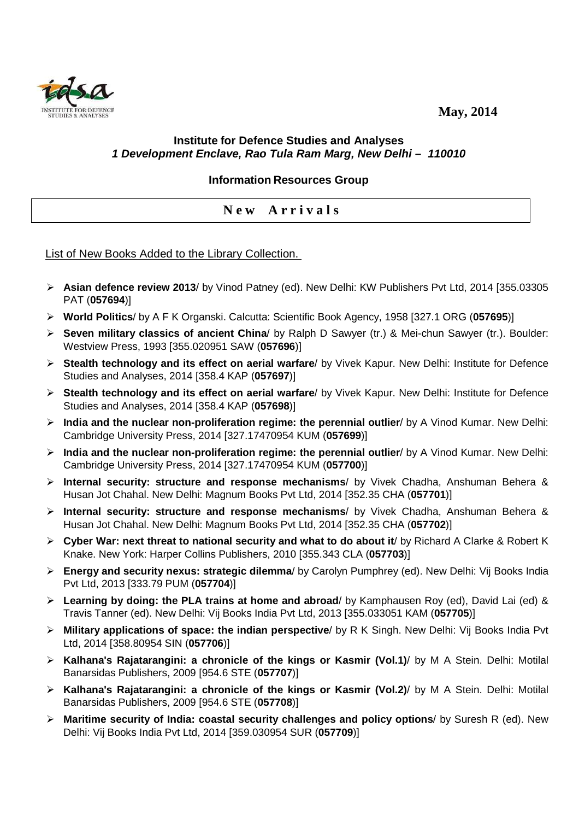**May, 2014** 



## **Institute for Defence Studies and Analyses 1 Development Enclave, Rao Tula Ram Marg, New Delhi – 110010**

## **Information Resources Group**

## **N e w A r r i v a l s**

## List of New Books Added to the Library Collection.

- **Asian defence review 2013**/ by Vinod Patney (ed). New Delhi: KW Publishers Pvt Ltd, 2014 [355.03305 PAT (**057694**)]
- **World Politics**/ by A F K Organski. Calcutta: Scientific Book Agency, 1958 [327.1 ORG (**057695**)]
- **Seven military classics of ancient China**/ by Ralph D Sawyer (tr.) & Mei-chun Sawyer (tr.). Boulder: Westview Press, 1993 [355.020951 SAW (**057696**)]
- **Stealth technology and its effect on aerial warfare**/ by Vivek Kapur. New Delhi: Institute for Defence Studies and Analyses, 2014 [358.4 KAP (**057697**)]
- **Stealth technology and its effect on aerial warfare**/ by Vivek Kapur. New Delhi: Institute for Defence Studies and Analyses, 2014 [358.4 KAP (**057698**)]
- **India and the nuclear non-proliferation regime: the perennial outlier**/ by A Vinod Kumar. New Delhi: Cambridge University Press, 2014 [327.17470954 KUM (**057699**)]
- **India and the nuclear non-proliferation regime: the perennial outlier**/ by A Vinod Kumar. New Delhi: Cambridge University Press, 2014 [327.17470954 KUM (**057700**)]
- **Internal security: structure and response mechanisms**/ by Vivek Chadha, Anshuman Behera & Husan Jot Chahal. New Delhi: Magnum Books Pvt Ltd, 2014 [352.35 CHA (**057701**)]
- **Internal security: structure and response mechanisms**/ by Vivek Chadha, Anshuman Behera & Husan Jot Chahal. New Delhi: Magnum Books Pvt Ltd, 2014 [352.35 CHA (**057702**)]
- **Cyber War: next threat to national security and what to do about it**/ by Richard A Clarke & Robert K Knake. New York: Harper Collins Publishers, 2010 [355.343 CLA (**057703**)]
- **Energy and security nexus: strategic dilemma**/ by Carolyn Pumphrey (ed). New Delhi: Vij Books India Pvt Ltd, 2013 [333.79 PUM (**057704**)]
- **Learning by doing: the PLA trains at home and abroad**/ by Kamphausen Roy (ed), David Lai (ed) & Travis Tanner (ed). New Delhi: Vij Books India Pvt Ltd, 2013 [355.033051 KAM (**057705**)]
- **Military applications of space: the indian perspective**/ by R K Singh. New Delhi: Vij Books India Pvt Ltd, 2014 [358.80954 SIN (**057706**)]
- **Kalhana's Rajatarangini: a chronicle of the kings or Kasmir (Vol.1)**/ by M A Stein. Delhi: Motilal Banarsidas Publishers, 2009 [954.6 STE (**057707**)]
- **Kalhana's Rajatarangini: a chronicle of the kings or Kasmir (Vol.2)**/ by M A Stein. Delhi: Motilal Banarsidas Publishers, 2009 [954.6 STE (**057708**)]
- **Maritime security of India: coastal security challenges and policy options**/ by Suresh R (ed). New Delhi: Vij Books India Pvt Ltd, 2014 [359.030954 SUR (**057709**)]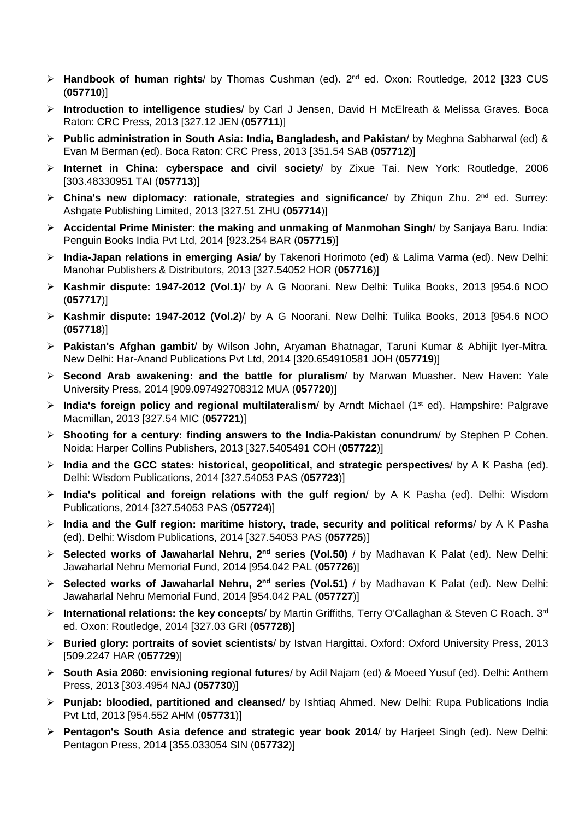- **Handbook of human rights**/ by Thomas Cushman (ed). 2nd ed. Oxon: Routledge, 2012 [323 CUS (**057710**)]
- **Introduction to intelligence studies**/ by Carl J Jensen, David H McElreath & Melissa Graves. Boca Raton: CRC Press, 2013 [327.12 JEN (**057711**)]
- **Public administration in South Asia: India, Bangladesh, and Pakistan**/ by Meghna Sabharwal (ed) & Evan M Berman (ed). Boca Raton: CRC Press, 2013 [351.54 SAB (**057712**)]
- **Internet in China: cyberspace and civil society**/ by Zixue Tai. New York: Routledge, 2006 [303.48330951 TAI (**057713**)]
- **Example 2** China's new diplomacy: rationale, strategies and significance/ by Zhiqun Zhu. 2<sup>nd</sup> ed. Surrey: Ashgate Publishing Limited, 2013 [327.51 ZHU (**057714**)]
- **Accidental Prime Minister: the making and unmaking of Manmohan Singh**/ by Sanjaya Baru. India: Penguin Books India Pvt Ltd, 2014 [923.254 BAR (**057715**)]
- **India-Japan relations in emerging Asia**/ by Takenori Horimoto (ed) & Lalima Varma (ed). New Delhi: Manohar Publishers & Distributors, 2013 [327.54052 HOR (**057716**)]
- **Kashmir dispute: 1947-2012 (Vol.1)**/ by A G Noorani. New Delhi: Tulika Books, 2013 [954.6 NOO (**057717**)]
- **Kashmir dispute: 1947-2012 (Vol.2)**/ by A G Noorani. New Delhi: Tulika Books, 2013 [954.6 NOO (**057718**)]
- **Pakistan's Afghan gambit**/ by Wilson John, Aryaman Bhatnagar, Taruni Kumar & Abhijit Iyer-Mitra. New Delhi: Har-Anand Publications Pvt Ltd, 2014 [320.654910581 JOH (**057719**)]
- **Second Arab awakening: and the battle for pluralism**/ by Marwan Muasher. New Haven: Yale University Press, 2014 [909.097492708312 MUA (**057720**)]
- **India's foreign policy and regional multilateralism/** by Arndt Michael (1<sup>st</sup> ed). Hampshire: Palgrave Macmillan, 2013 [327.54 MIC (**057721**)]
- **Shooting for a century: finding answers to the India-Pakistan conundrum**/ by Stephen P Cohen. Noida: Harper Collins Publishers, 2013 [327.5405491 COH (**057722**)]
- **India and the GCC states: historical, geopolitical, and strategic perspectives**/ by A K Pasha (ed). Delhi: Wisdom Publications, 2014 [327.54053 PAS (**057723**)]
- **India's political and foreign relations with the gulf region**/ by A K Pasha (ed). Delhi: Wisdom Publications, 2014 [327.54053 PAS (**057724**)]
- **India and the Gulf region: maritime history, trade, security and political reforms**/ by A K Pasha (ed). Delhi: Wisdom Publications, 2014 [327.54053 PAS (**057725**)]
- **Selected works of Jawaharlal Nehru, 2nd series (Vol.50)** / by Madhavan K Palat (ed). New Delhi: Jawaharlal Nehru Memorial Fund, 2014 [954.042 PAL (**057726**)]
- **Selected works of Jawaharlal Nehru, 2nd series (Vol.51)** / by Madhavan K Palat (ed). New Delhi: Jawaharlal Nehru Memorial Fund, 2014 [954.042 PAL (**057727**)]
- **International relations: the key concepts**/ by Martin Griffiths, Terry O'Callaghan & Steven C Roach. 3rd ed. Oxon: Routledge, 2014 [327.03 GRI (**057728**)]
- **Buried glory: portraits of soviet scientists**/ by Istvan Hargittai. Oxford: Oxford University Press, 2013 [509.2247 HAR (**057729**)]
- **South Asia 2060: envisioning regional futures**/ by Adil Najam (ed) & Moeed Yusuf (ed). Delhi: Anthem Press, 2013 [303.4954 NAJ (**057730**)]
- **Punjab: bloodied, partitioned and cleansed**/ by Ishtiaq Ahmed. New Delhi: Rupa Publications India Pvt Ltd, 2013 [954.552 AHM (**057731**)]
- **Pentagon's South Asia defence and strategic year book 2014**/ by Harjeet Singh (ed). New Delhi: Pentagon Press, 2014 [355.033054 SIN (**057732**)]